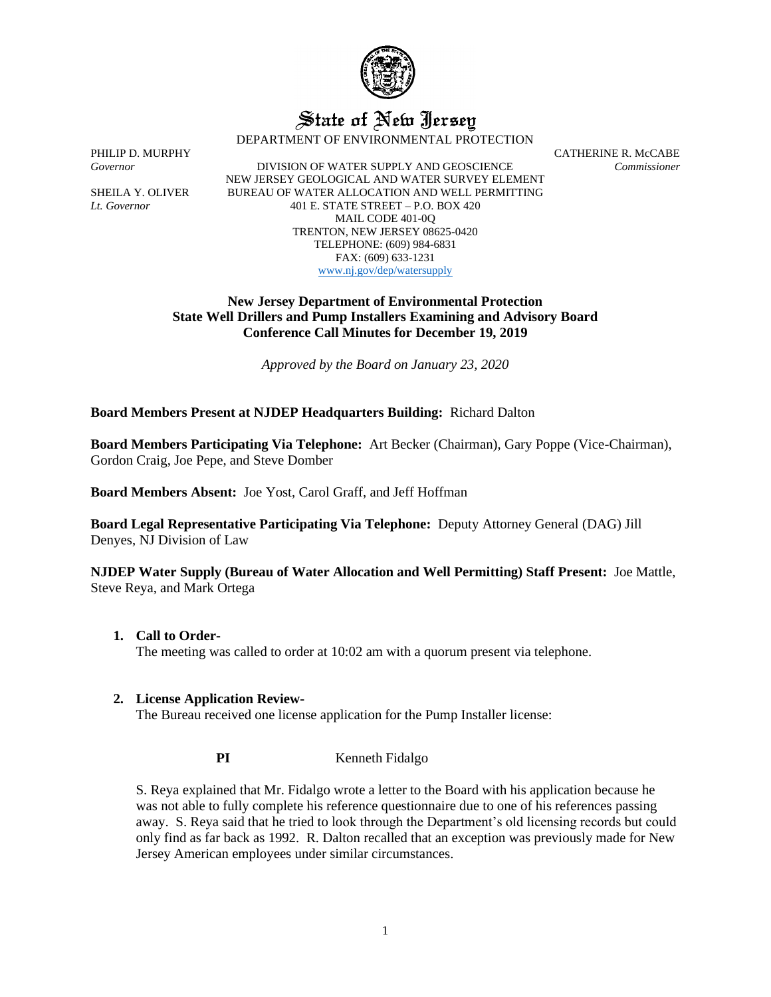

# State of New Jersey

DEPARTMENT OF ENVIRONMENTAL PROTECTION

PHILIP D. MURPHY CATHERINE R. McCABE

*Governor* DIVISION OF WATER SUPPLY AND GEOSCIENCE *Commissioner* NEW JERSEY GEOLOGICAL AND WATER SURVEY ELEMENT SHEILA Y. OLIVER BUREAU OF WATER ALLOCATION AND WELL PERMITTING *Lt. Governor* 401 E. STATE STREET – P.O. BOX 420 MAIL CODE 401-0Q TRENTON, NEW JERSEY 08625-0420 TELEPHONE: (609) 984-6831 FAX: (609) 633-1231 [www.nj.gov/dep/watersupply](http://www.nj.gov/dep/watersupply)

## **New Jersey Department of Environmental Protection State Well Drillers and Pump Installers Examining and Advisory Board Conference Call Minutes for December 19, 2019**

*Approved by the Board on January 23, 2020*

**Board Members Present at NJDEP Headquarters Building:** Richard Dalton

**Board Members Participating Via Telephone:** Art Becker (Chairman), Gary Poppe (Vice-Chairman), Gordon Craig, Joe Pepe, and Steve Domber

**Board Members Absent:** Joe Yost, Carol Graff, and Jeff Hoffman

**Board Legal Representative Participating Via Telephone:** Deputy Attorney General (DAG) Jill Denyes, NJ Division of Law

**NJDEP Water Supply (Bureau of Water Allocation and Well Permitting) Staff Present:** Joe Mattle, Steve Reya, and Mark Ortega

**1. Call to Order-**

The meeting was called to order at 10:02 am with a quorum present via telephone.

#### **2. License Application Review-**

The Bureau received one license application for the Pump Installer license:

**PI** Kenneth Fidalgo

S. Reya explained that Mr. Fidalgo wrote a letter to the Board with his application because he was not able to fully complete his reference questionnaire due to one of his references passing away. S. Reya said that he tried to look through the Department's old licensing records but could only find as far back as 1992. R. Dalton recalled that an exception was previously made for New Jersey American employees under similar circumstances.